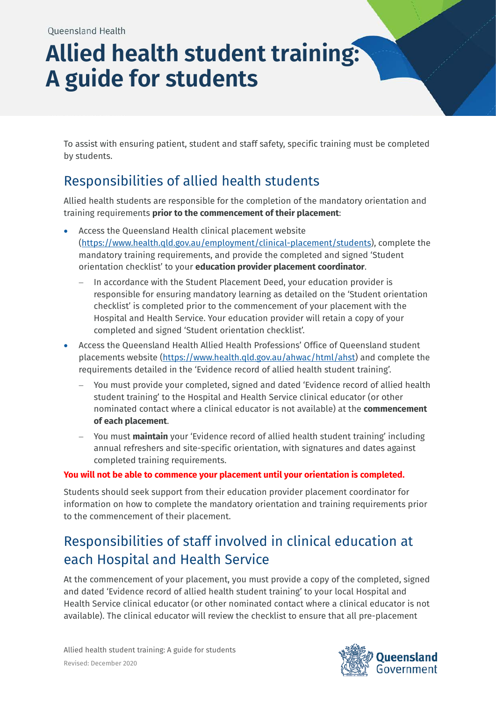## **Allied health student training: A guide for students**

To assist with ensuring patient, student and staff safety, specific training must be completed by students.

## Responsibilities of allied health students

Allied health students are responsible for the completion of the mandatory orientation and training requirements **prior to the commencement of their placement**:

- Access the Queensland Health clinical placement website [\(https://www.health.qld.gov.au/employment/clinical-placement/students\)](https://www.health.qld.gov.au/employment/clinical-placement/students), complete the mandatory training requirements, and provide the completed and signed 'Student orientation checklist' to your **education provider placement coordinator**.
	- − In accordance with the Student Placement Deed, your education provider is responsible for ensuring mandatory learning as detailed on the 'Student orientation checklist' is completed prior to the commencement of your placement with the Hospital and Health Service. Your education provider will retain a copy of your completed and signed 'Student orientation checklist'.
- Access the Queensland Health Allied Health Professions' Office of Queensland student placements website [\(https://www.health.qld.gov.au/ahwac/html/ahst\)](https://www.health.qld.gov.au/ahwac/html/ahst) and complete the requirements detailed in the 'Evidence record of allied health student training'.
	- You must provide your completed, signed and dated 'Evidence record of allied health student training' to the Hospital and Health Service clinical educator (or other nominated contact where a clinical educator is not available) at the **commencement of each placement**.
	- − You must **maintain** your 'Evidence record of allied health student training' including annual refreshers and site-specific orientation, with signatures and dates against completed training requirements.

## **You will not be able to commence your placement until your orientation is completed.**

Students should seek support from their education provider placement coordinator for information on how to complete the mandatory orientation and training requirements prior to the commencement of their placement.

## Responsibilities of staff involved in clinical education at each Hospital and Health Service

At the commencement of your placement, you must provide a copy of the completed, signed and dated 'Evidence record of allied health student training' to your local Hospital and Health Service clinical educator (or other nominated contact where a clinical educator is not available). The clinical educator will review the checklist to ensure that all pre-placement